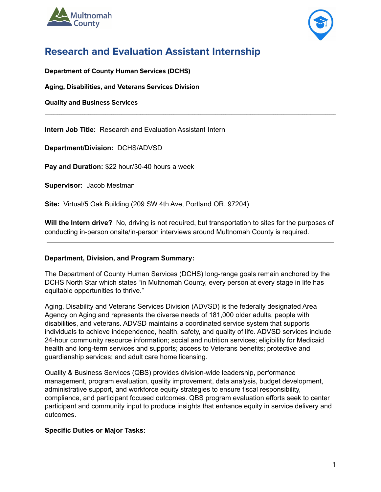



# **Research and Evaluation Assistant Internship**

**Department of County Human Services (DCHS)**

**Aging, Disabilities, and Veterans Services Division**

**Quality and Business Services**

**Intern Job Title:** Research and Evaluation Assistant Intern

**Department/Division:** DCHS/ADVSD

**Pay and Duration:** \$22 hour/30-40 hours a week

**Supervisor:** Jacob Mestman

**Site:** Virtual/5 Oak Building (209 SW 4th Ave, Portland OR, 97204)

**Will the Intern drive?** No, driving is not required, but transportation to sites for the purposes of conducting in-person onsite/in-person interviews around Multnomah County is required.

 $\mathcal{L}_\text{max} = \mathcal{L}_\text{max} = \mathcal{L}_\text{max} = \mathcal{L}_\text{max} = \mathcal{L}_\text{max} = \mathcal{L}_\text{max} = \mathcal{L}_\text{max} = \mathcal{L}_\text{max} = \mathcal{L}_\text{max} = \mathcal{L}_\text{max} = \mathcal{L}_\text{max} = \mathcal{L}_\text{max} = \mathcal{L}_\text{max} = \mathcal{L}_\text{max} = \mathcal{L}_\text{max} = \mathcal{L}_\text{max} = \mathcal{L}_\text{max} = \mathcal{L}_\text{max} = \mathcal{$ 

## **Department, Division, and Program Summary:**

The Department of County Human Services (DCHS) long-range goals remain anchored by the DCHS North Star which states "in Multnomah County, every person at every stage in life has equitable opportunities to thrive."

Aging, Disability and Veterans Services Division (ADVSD) is the federally designated Area Agency on Aging and represents the diverse needs of 181,000 older adults, people with disabilities, and veterans. ADVSD maintains a coordinated service system that supports individuals to achieve independence, health, safety, and quality of life. ADVSD services include 24-hour community resource information; social and nutrition services; eligibility for Medicaid health and long-term services and supports; access to Veterans benefits; protective and guardianship services; and adult care home licensing.

Quality & Business Services (QBS) provides division-wide leadership, performance management, program evaluation, quality improvement, data analysis, budget development, administrative support, and workforce equity strategies to ensure fiscal responsibility, compliance, and participant focused outcomes. QBS program evaluation efforts seek to center participant and community input to produce insights that enhance equity in service delivery and outcomes.

## **Specific Duties or Major Tasks:**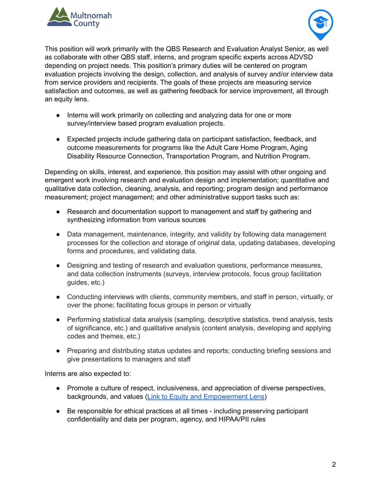



This position will work primarily with the QBS Research and Evaluation Analyst Senior, as well as collaborate with other QBS staff, interns, and program specific experts across ADVSD depending on project needs. This position's primary duties will be centered on program evaluation projects involving the design, collection, and analysis of survey and/or interview data from service providers and recipients. The goals of these projects are measuring service satisfaction and outcomes, as well as gathering feedback for service improvement, all through an equity lens.

- Interns will work primarily on collecting and analyzing data for one or more survey/interview based program evaluation projects.
- Expected projects include gathering data on participant satisfaction, feedback, and outcome measurements for programs like the Adult Care Home Program, Aging Disability Resource Connection, Transportation Program, and Nutrition Program.

Depending on skills, interest, and experience, this position may assist with other ongoing and emergent work involving research and evaluation design and implementation; quantitative and qualitative data collection, cleaning, analysis, and reporting; program design and performance measurement; project management; and other administrative support tasks such as:

- Research and documentation support to management and staff by gathering and synthesizing information from various sources
- Data management, maintenance, integrity, and validity by following data management processes for the collection and storage of original data, updating databases, developing forms and procedures, and validating data.
- Designing and testing of research and evaluation questions, performance measures, and data collection instruments (surveys, interview protocols, focus group facilitation guides, etc.)
- Conducting interviews with clients, community members, and staff in person, virtually, or over the phone; facilitating focus groups in person or virtually
- Performing statistical data analysis (sampling, descriptive statistics, trend analysis, tests of significance, etc.) and qualitative analysis (content analysis, developing and applying codes and themes, etc.)
- Preparing and distributing status updates and reports; conducting briefing sessions and give presentations to managers and staff

Interns are also expected to:

- Promote a culture of respect, inclusiveness, and appreciation of diverse perspectives, backgrounds, and values (Link to Equity and [Empowerment](https://multco.us/diversity-equity/equity-and-empowerment-lens) Lens)
- Be responsible for ethical practices at all times including preserving participant confidentiality and data per program, agency, and HIPAA/PII rules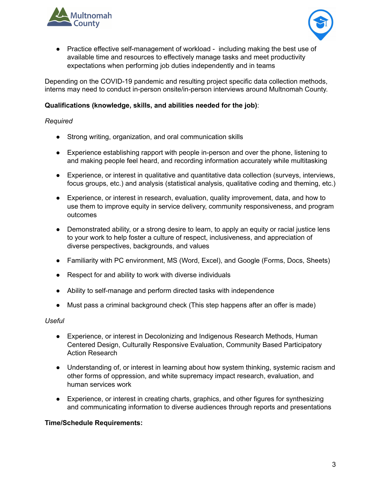



● Practice effective self-management of workload - including making the best use of available time and resources to effectively manage tasks and meet productivity expectations when performing job duties independently and in teams

Depending on the COVID-19 pandemic and resulting project specific data collection methods, interns may need to conduct in-person onsite/in-person interviews around Multnomah County.

## **Qualifications (knowledge, skills, and abilities needed for the job)**:

## *Required*

- Strong writing, organization, and oral communication skills
- Experience establishing rapport with people in-person and over the phone, listening to and making people feel heard, and recording information accurately while multitasking
- Experience, or interest in qualitative and quantitative data collection (surveys, interviews, focus groups, etc.) and analysis (statistical analysis, qualitative coding and theming, etc.)
- Experience, or interest in research, evaluation, quality improvement, data, and how to use them to improve equity in service delivery, community responsiveness, and program outcomes
- Demonstrated ability, or a strong desire to learn, to apply an equity or racial justice lens to your work to help foster a culture of respect, inclusiveness, and appreciation of diverse perspectives, backgrounds, and values
- Familiarity with PC environment, MS (Word, Excel), and Google (Forms, Docs, Sheets)
- Respect for and ability to work with diverse individuals
- Ability to self-manage and perform directed tasks with independence
- Must pass a criminal background check (This step happens after an offer is made)

## *Useful*

- Experience, or interest in Decolonizing and Indigenous Research Methods, Human Centered Design, Culturally Responsive Evaluation, Community Based Participatory Action Research
- Understanding of, or interest in learning about how system thinking, systemic racism and other forms of oppression, and white supremacy impact research, evaluation, and human services work
- Experience, or interest in creating charts, graphics, and other figures for synthesizing and communicating information to diverse audiences through reports and presentations

## **Time/Schedule Requirements:**